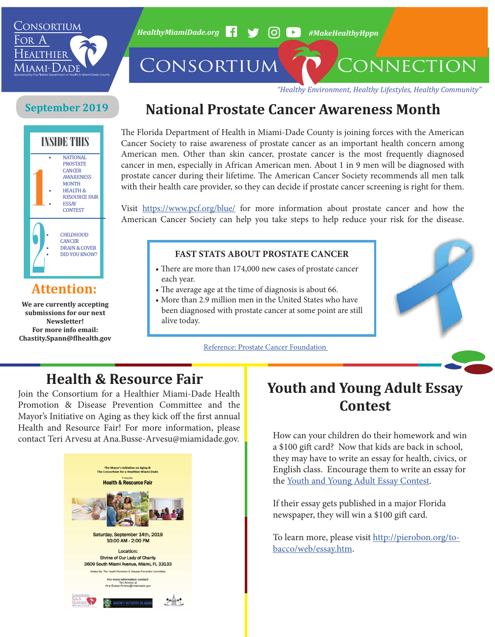

*HealthyMiamiDade.org* **4 3 (O)** *A* #MakeHealthyHppn

CONSORTIUM CONNECTION

*"Healthy Environment, Healthy Lifestyles, Healthy Community"*

#### **September 2019**



## **Attention:**

**We are currently accepting submissions for our next Newsletter! For more info email: Chastity.Spann@flhealth.gov**

# **National Prostate Cancer Awareness Month**

The Florida Department of Health in Miami-Dade County is joining forces with the American Cancer Society to raise awareness of prostate cancer as an important health concern among American men. Other than skin cancer, prostate cancer is the most frequently diagnosed cancer in men, especially in African American men. About 1 in 9 men will be diagnosed with prostate cancer during their lifetime. The American Cancer Society recommends all men talk with their health care provider, so they can decide if prostate cancer screening is right for them.

Visit <https://www.pcf.org/blue/>for more information about prostate cancer and how the American Cancer Society can help you take steps to help reduce your risk for the disease.

#### **FAST STATS ABOUT PROSTATE CANCER**

- There are more than 174,000 new cases of prostate cancer each year.
- The average age at the time of diagnosis is about 66.
- More than 2.9 million men in the United States who have been diagnosed with prostate cancer at some point are still alive today.

Reference: [Prostate Cancer Foundation](https://www.pcf.org/blue/) 



# **Health & Resource Fair**

Join the Consortium for a Healthier Miami-Dade Health Promotion & Disease Prevention Committee and the Mayor's Initiative on Aging as they kick off the first annual Health and Resource Fair! For more information, please contact Teri Arvesu at Ana.Busse-Arvesu@miamidade.gov.



# **Youth and Young Adult Essay Contest**

How can your children do their homework and win a \$100 gift card? Now that kids are back in school, they may have to write an essay for health, civics, or English class. Encourage them to write an essay for the [Youth and Young Adult Essay Contest.](http://pierobon.org/tobacco/web/essay.htm)

If their essay gets published in a major Florida newspaper, they will win a \$100 gift card.

To learn more, please visit [http://pierobon.org/to](http://pierobon.org/tobacco/web/essay.htm)[bacco/web/essay.htm](http://pierobon.org/tobacco/web/essay.htm).